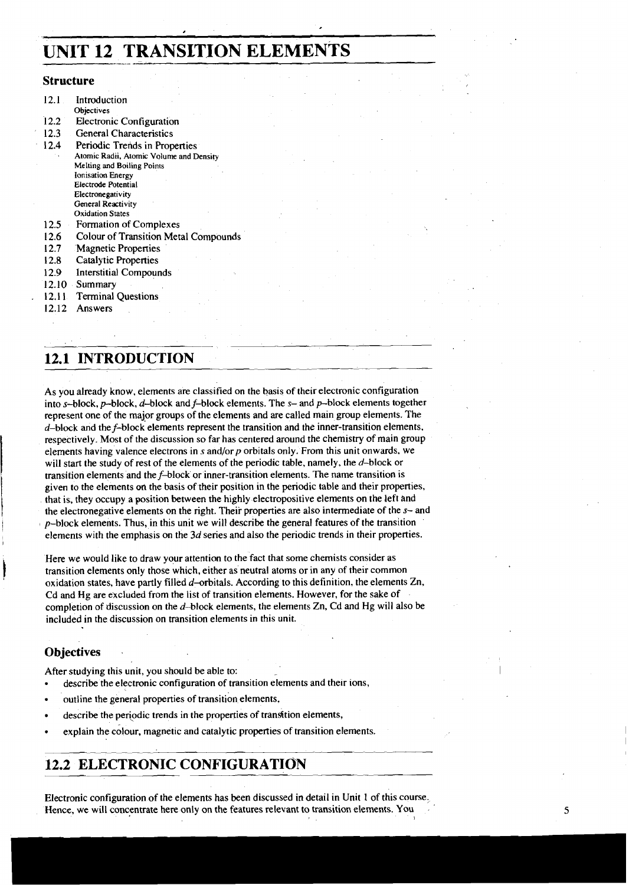# **UNIT 12 TRANSLTION ELEMENTS**

#### **Structure**

| 12.1   | Introduction                                |
|--------|---------------------------------------------|
|        |                                             |
|        | Objectives                                  |
| 12.2   | Electronic Configuration                    |
| 12.3   | <b>General Characteristics</b>              |
| 12.4   | Periodic Trends in Properties               |
|        | Atomic Radii, Atomic Volume and Density     |
|        | Melting and Boiling Points                  |
|        | <b>Ionisation Energy</b>                    |
|        | Electrode Potential                         |
|        | Electronegativity                           |
|        | General Reactivity                          |
|        | <b>Oxidation States</b>                     |
| 12.5   | Formation of Complexes                      |
| 12.6   | <b>Colour of Transition Metal Compounds</b> |
| 12.7   | <b>Magnetic Properties</b>                  |
| 12.8   | <b>Catalytic Properties</b>                 |
| 12.9   | Interstitial Compounds                      |
| 12.10  | Summary                                     |
| 12.11. | <b>Terminal Questions</b>                   |
| 12.12  | Answers                                     |

## **12.1 INTRODUCTION**

As you already know, elements are classified on the basis of their electronic configuration into  $s$ -block,  $p$ -block,  $d$ -block and  $f$ -block elements. The  $s$ - and  $p$ -block elements together represent one of the major groups of the elements and are called main group elements. The  $d$ -block and the  $f$ -block elements represent the transition and the inner-transition elements, respectively. Most of the discussion so far has centered around the chemistry of main group elements having valence electrons in s and/or  $p$  orbitals only. From this unit onwards, we will start the study of rest of the elements of the periodic table, namely, the  $d$ -block or transition elements and the f-block or inner-transition elements. The name transition is given to the elements on the basis of their position in the periodic table and their properties, that is, they occupy a position between the highly electropositive elements on the left and the electronegative elements on the right. Their properties are also intermediate of the s- and  $p$ -block elements. Thus, in this unit we will describe the general features of the transition elements with the emphasis **on** the 3d series and also the periodic trends in their properties.

Here we would like to draw your attention to the fact that some chemists consider as transition elements only those which, either as neutral atoms or in any of their common oxidation states, have partly filled  $d$ -orbitals. According to this definition, the elements Zn, Cd and Hg are excluded from the list of transition elements. However, for the sake of completion of discussion on the  $d$ -block elements, the elements Zn, Cd and Hg will also be included in the discussion on transition elements in this unit.

## **Objectives**

After studying this unit, you should be able to:

- describe the electronic configuration of transition elements and their ions,
- outline the general properties of transition elements,
- describe the periodic trends in the properties of transition elements,
- explain the colour, magnetic and catalytic properties of transition elements.

## **12.2 ELECTRONIC CONFIGURATIO'N**

Electronic configuration of the elements has been discussed in detail in Unit 1 of this course, Hence, we will concentrate here only on the features relevant to transition elements. You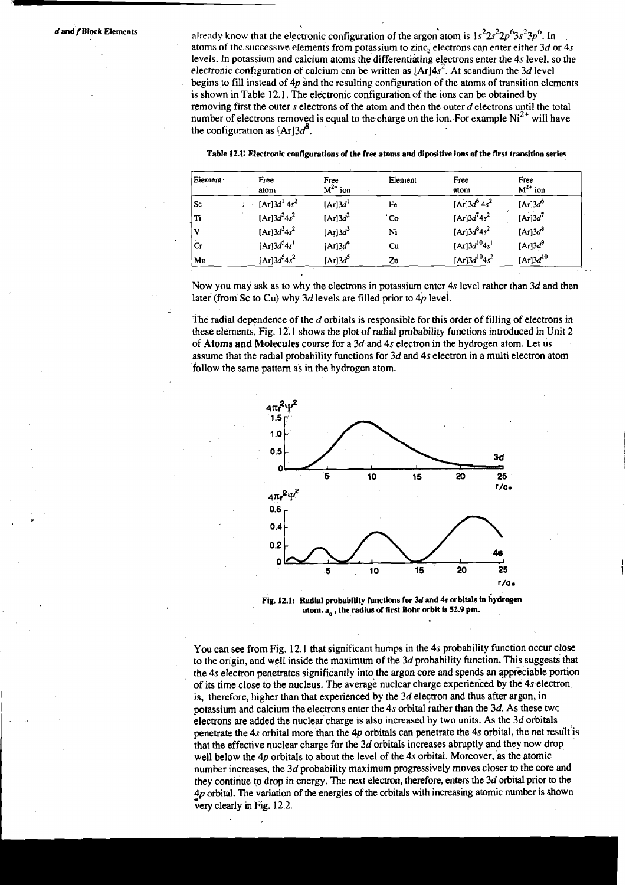**d and f Block Elements** already know that the electronic configuration of the argon atom is  $1s^2 2s^2 2p^6 3s^2 3p^6$ . In atoms of the successive elements from potassium to zinc, electrons can enter either *3d* or **4s**  levels. In potassium and calcium atoms the differentiating electrons enter the **4s** level, so the electronic configuration of calcium can be written as  $[Ar]4s^2$ . At scandium the 3d level begins to fill instead of  $4p$  and the resulting configuration of the atoms of transition elements is shown in Table 12.1. The electronic configuration of the ions can be obtained by removing first the outer s electrons of the atom and then the outer *d* electrons until the total number of electrons removed is equal to the charge on the ion. For example  $Ni<sup>2+</sup>$  will have the configuration as  $[Ar]3d^8$ .

| Eiement | Free<br>atom       | Free<br>$M^{2+}$ ion | Element | Free<br>atom        | Free<br>$M^{2+}$ ion |
|---------|--------------------|----------------------|---------|---------------------|----------------------|
| ⊦Sc     | $[Ar]3d^14s^2$     | [Ar] $3d1$           | Fe      | $[Ar]3d^6 4s^2$     | [Ar] $3d^6$          |
| Ti      | $[Ar]3d^24s^2$     | [Ar] $3d^2$          | 'Co     | [Ar] $3d^74s^2$     | [Ar] $3d^7$          |
| V       | $[Ar]3d^34s^2$     | [Ar] $3d^3$          | Ni      | $[Ar]3d^{8}4s^{2}$  | [Ar] $3d^8$          |
| Cr      | $[Ar]3d^{5}4s^{1}$ | [Ar] $3d^4$          | Cu      | $[Ar]3d^{10}4s^{1}$ | [Ar] $3d^9$          |
| Mn      | [Ar] $3d^54s^2$    | [Ar] $3d^5$          | Zn      | $[Ar]3d^{10}4s^2$   | [Ar] $3d^{10}$       |

| Table 12.1: Electronic configurations of the free atoms and dipositive ions of the first transition series |  |
|------------------------------------------------------------------------------------------------------------|--|
|------------------------------------------------------------------------------------------------------------|--|

Now you may ask as to why the electrons in potassium enter 4s level rather than 3d and then later (from Sc to Cu) why  $3d$  levels are filled prior to  $4p$  level.

The radial dependence of the *d* orbitals is responsible for this order of filling of electrons in these elements. Fig. 12.1 shows the plot of radial probability functions introduced in Unit 2 of Atoms and Molecules course for a *3d* and **4s** electron in the hydrogen atom. Let us assume that the radial probability functions for *3d* and 4s electron in a multi electron atom follow the same pattern as in the hydrogen atom.



**Fig. 12.1: Radial probability functions for** *3d* **and 4s orbitals in hydrogen atom. a,, the radius of first Bohr orbit is 52.9 pm.** 

You can see from Fig. 12.1 that significant humps in the 4s probability function occur close to the origin, and well inside the maximum of the *3d* probability function. This suggests that the 4s electron penetrates significantly into the argon core and spends an appreciable portion of its time close to the nucleus. The average nuclear charge experienced by the 4s electron is, therefore, higher than that experienced by the *3d* electron and thus after argon, in potassium and calcium the electrons enter the 4s orbital rather than the *3d.* As these twc electrons are added the nuclear charge is also increased by two units. As the *3d* orbitals penetrate the 4s orbital more than the **4p** orbitals can penetrate the 4s orbital, the net result'is that the effective nuclear charge for the *3d* orbitals increases abruptly and they now drop well below the 4p orbitals to about the level of the 4s orbital. Moreover, as the atomic number increases, the *3d* probability maximum progressively moves closer to the core and they continue to drop in energy. The next elecm, therefore, enters the *3d* orbital prior *to* the  $4p$  orbital. The variation of the energies of the orbitals with increasing atomic number is shown very clearly in Fig. 12.2.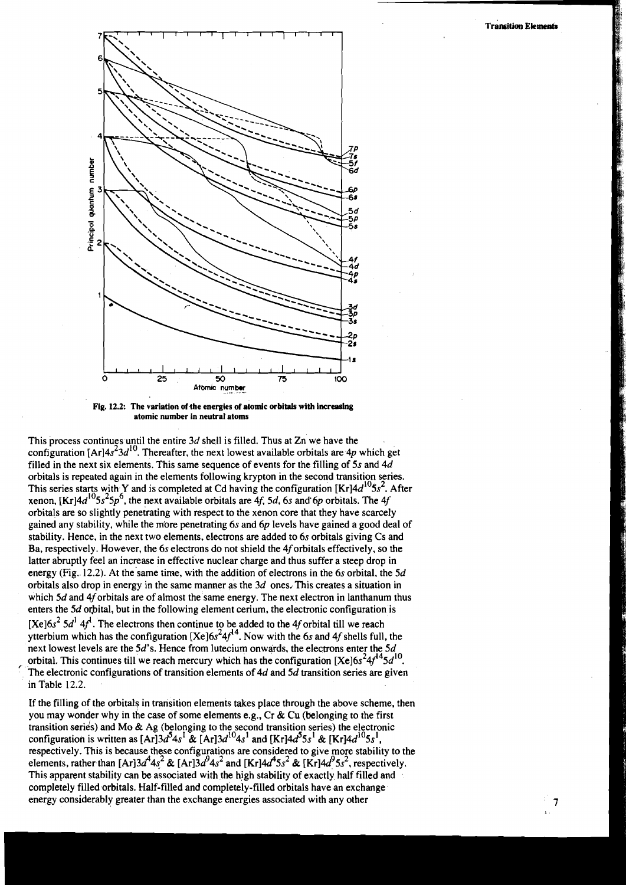$\overline{7}$ 



**Fig. 12.2: The variation of the energies of atomic orbitals with increasing atomic number in neutral atoms** 

This process continues until the entire  $3d$  shell is filled. Thus at Zn we have the configuration  $[Ar]4s^23d^{10}$ . Thereafter, the next lowest available orbitals are  $4p$  which get filled in the next six elements. This same sequence of events for the filling of 5s and  $4d$ orbitals is repeated again in the elements following krypton in the second transition series. This series starts with Y and is completed at Cd having the configuration  $[Kr]4d^{10}5s^2$ . After xenon,  $[Kr]4d^{10}5s^25p^6$ , the next available orbitals are  $4f$ , 5d, 6s and 6p orbitals. The 4j orbitals are so slightly penetrating with respect to the xenon core that they have scarcely gained any stability, while the more penetrating 6s and  $6p$  levels have gained a good deal of stability. Hence, in the next two elements, electrons are added to 6s orbitals giving Cs and Ba, respectively. However, the 6s electrons do not shield the 4forbitals effectively, so the latter abruptly feel an increase in effective nuclear charge and thus suffer a steep drop in energy (Fig. 12.2). At the same time, with the addition of electrons in the 6s orbital, the  $5d$ orbitals also drop in energy in the same manner as the  $3d$  ones. This creates a situation in which  $5d$  and  $4f$  orbitals are of almost the same energy. The next electron in lanthanum thus enters the 5d orbital, but in the following element cerium, the electronic configuration is [Xe] $6s<sup>2</sup> 5d<sup>1</sup> 4f<sup>1</sup>$ . The electrons then continue to be added to the 4f orbital till we reach ytterbium which has the configuration [Xe]6s<sup>2</sup>4f<sup>14</sup>. Now with the 6s and 4f shells full, the next lowest levels are the 5d's. Hence from luteciurn onwards, the electrons enter the 5d orbital. This continues till we reach mercury which has the configuration  $[Xe]6s^24f^{14}5d^{10}$ .<br>The electronic configurations of transition elements of 4d and 5d transition series are given in Table 12.2.

If the filling of the orbitals in transition elements takes place through the above scheme, then you may wonder why in the case of some elements e.g., Cr & Cu (belonging to the first transition serids) and Mo & Ag (belonging to the second transition series) the electronic configuration is written as  $[Ar]3d^54s^1 \& [Ar]3d^{10}4s^1$  and  $[Kr]4d^55s^1 \& [Kr]4d^{10}5s^1$ , respectively. This is because these configurations are considered to give more stability to the elements, rather than [Ar]3d<sup>4</sup>4s<sup>2</sup> & [Ar]3d<sup>9</sup>4s<sup>2</sup> and [Kr]4d<sup>4</sup>5s<sup>2</sup> & [Kr]4d<sup>9</sup>5s<sup>2</sup>, respectively. This apparent stability can be associated with the high stability of exactly half filled and completely filled orbitals. Half-filled and completely-filled orbitals have an exchange energy considerably greater than the exchange energies associated with any other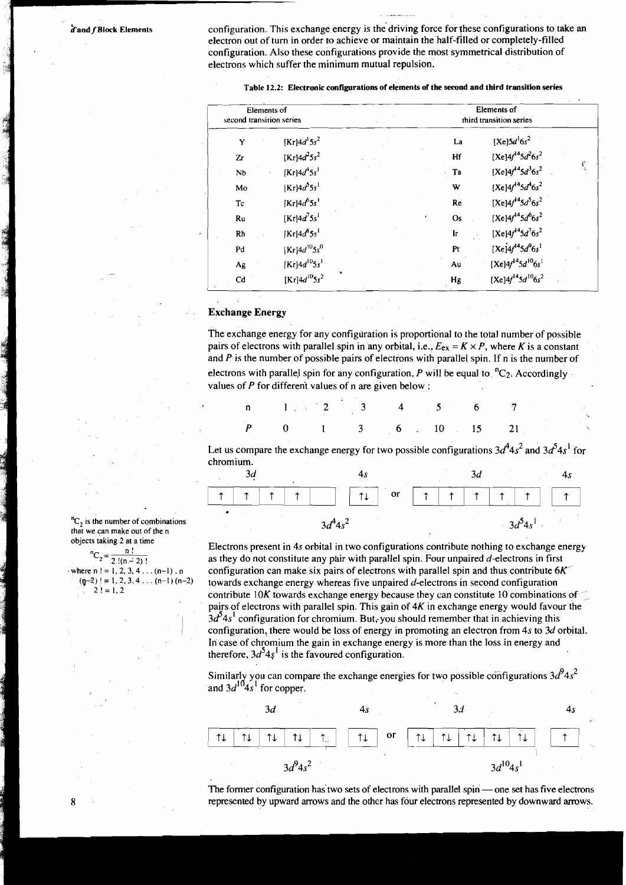A and f Block Elements configuration. This exchange energy is the driving force for these configurations to take an electron out of turn in order to achieve or maintain the half-filled or completely-filled or completely-fi configuration. Also these configurations provide the most symmetrical distribution of electrons which suffer the minimum mutual repulsion.

| second transition series     | Elements of                            |                | Elements of<br>third transition series |    |
|------------------------------|----------------------------------------|----------------|----------------------------------------|----|
| Y                            | $[Kr]$ 4d <sup>1</sup> 5s <sup>2</sup> | La             | $[Xe]5d^16s^2$                         |    |
| Zr                           | $[Kr] 4d^25s^2$                        | Hf             | [Xe] $4f^{14}5d^26s^2$                 |    |
| Nb                           | $[Kr]4d^45s^1$                         | $\cdot$ Ta     | $[Xe]4f^{14}5d^36s^2$                  | Ÿ, |
| Mo                           | $[\mathrm{Kr}]4d^55s^1$                | W              | $[Xe]4f^{14}5d^{4}6s^{2}$              |    |
| $\operatorname{\mathsf{TC}}$ | $[\mathrm{Kr}]4d^{6}5s^{1}$            | Re             | [Xe] $4f^{14}5d^{5}6s^{2}$             |    |
| Ru                           | [Kr] $4d^{7}5s^{1}$                    | Os             | $[Xe]4f^{14}5d^{6}6s^{2}$              |    |
| Rh                           | $[Kr]4d^{8}5s^{1}$                     | $\mathbf{Ir}$  | [Xe] $4f^{14}5d^{7}6s^{2}$             |    |
| Pd                           | [Kr] $4d^{10}5s^{0}$                   | P <sub>t</sub> | $[Xe]4f^{14}5d^{9}6s^{1}$              |    |
| Ag                           | $[Kr]4d^{10}5s'$                       | Au             | $[Xe]4f^{14}5d^{10}6s^1$               |    |
| Cd                           | [Kr] $4d^{10}5s^2$                     | Hg             | $[Xe]4f^{14}5d^{10}6s^2$               |    |
|                              |                                        |                |                                        |    |
| <b>Exchange Energy</b>       |                                        |                |                                        |    |

#### **I Table 12.2: Electronic configurations of elements of the second and third transition series**

The exchange energy for any configuration is proportional to the total number of possible pairs of electrons with parallel spin in any orbital, i.e.,  $E_{ex} = K \times P$ , where K is a constant and  $P$  is the number of possible pairs of electrons with parallel spin. If n is the number of electrons with parallel spin for any configuration, P will be equal to  ${}^{n}C_{2}$ . Accordingly values of  $P$  for different values of n are given below :

| $P$ 0 1 3 6 10 15 21 |  |  |  |  |  |
|----------------------|--|--|--|--|--|

Let us compare the exchange energy for two possible configurations  $3d^4 4s^2$  and  $3d^5 4s^1$  for chromium.



Electrons present in 4s orbital in two configurations contribute nothing to exchange energy as they do not constitute any pair with parallel spin. Four unpaired  $d$ -electrons in first configuration can make six pairs of electrons with parallel spin and thus contribute  $6K<sup>2</sup>$ towards exchange energy whereas five unpaired d-electrons in second configuration contribute 10K towards exchange energy because they can constitute 10 combinations **of**  pairs of electrons with parallel spin. This gain of  $4K$  in exchange energy would favour the  $3d<sup>5</sup>4s<sup>1</sup>$  configuration for chromium. But, you should remember that in achieving this configuration, there would be loss of energy in promoting an electron from 4s to 3d orbital. In case of chromium the gain in exchange energy is more than the loss in energy and therefore,  $3d^54s^1$  is the favoured configuration.

Similarly you can compare the exchange energies for two possible configurations  $3d^94s^2$  and  $3d^{10}4s^1$  for copper.



represented by upward arrows and the other has four electrons represented by downward arrows.

<sup>n</sup>C<sub>2</sub> is the number of combinations that we can make out of the n objects taking 2 at a time

| ${}^{n}C_{2} = \frac{1}{2!(n-2)!}$ |  |  |
|------------------------------------|--|--|
| where $n! = 1, 2, 3, 4 (n-1)$ . n  |  |  |
| $(p-2)! = 1, 2, 3, 4 (n-1) (n-2)$  |  |  |
| $2! = 1.2$                         |  |  |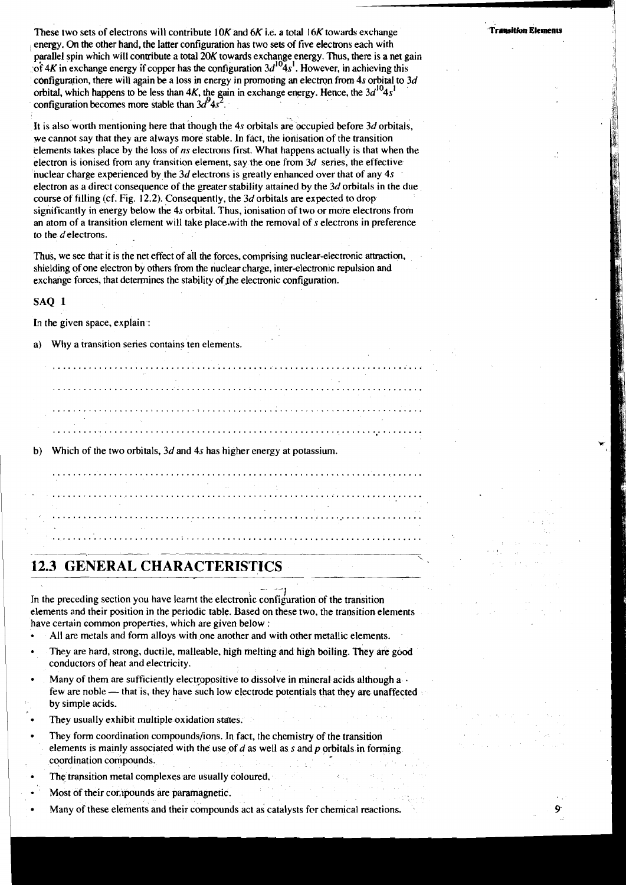These two sets of electrons will contribute **IOK** and *6K* i.e. a total *16K* towards exchange energy. On the other hand, the latter configuration has two sets of five electrons each with parallel spin which will contribute a total 20K towards exchange energy. Thus, there is a net gain of  $4K$  in exchange energy if copper has the configuration  $3d^{10}4s^1$ . However, in achieving this cbnfigumion, there will again be a loss in energy in promoting an electron from *4s* orbital to *3d*  orbital, which happens to be less than  $4K$ , the gain in exchange energy. Hence, the  $3d^{10}4s^1$  configuration becomes more stable than  $3d^94s^2$ .

It is also worth mentioning here that though the 4s orbitals are occupied before 3d orbitals, we cannot say that they are always more stable. In fact, the ionisation of the transition elements takes place by the loss of *ns* electrons first. What happens actually is that when the electron is ionised from any transition element, say the one from *3d* series, the effective nuclear charge experienced by the *3d* electrons is greatly enhanced over that of any *4s*  electron as a direct consequence of the greater stability attained by the *3d* orbitals in the due course of filling (cf. Fig. 12.2). Consequently, the *3d* orbitals are expected to drop significantly in energy below the *4s* orbital. Thus, ionisation of two or more electrons from an atom of a transition element will take place.with the removal of *s* electrons in preference to the delectrons.

Thus, we see that it is the net effect of all the forces, comprising nuclear-electronic attraction, shielding of one electron by others from the nuclear charge, inter-electronic repulsion and exchange forces, that determines the stability of the electronic configuration.

#### SAQ 1

In the given space, explain :

a) Why a transition series contains ten elements.

b) Which of the two orbitals, *3d* and *4s* has higher energy at potassium. 

**12.3 GENERAL CHARACTERISTICS** 

In the preceding section you have learnt the electronic configuration of the transition elements and their position in the periodic table. Based on these two, the transition elements have certain common properties, which are given below :

- All are metals and form alloys with one another and with other metallic elements.
- They are hard, strong, ductile, malleable, high melting and high boiling. They are good conductors of heat and electricity.
- Many of them are sufficiently electropositive to dissolve in mineral acids although  $a \cdot$ few are noble - that is, they have such low electrode potentials that they are unaffected by simple acids.
- They usually exhibit multiple oxidation states.
- They form coordination compounds/ions. In fact, the chemistry of the transition elements is mainly associated with the use of *d* as well as *s* and p orbitals in forming coordination compounds.
- The transition metal complexes are usually coloured.
- Most of their cor, ipounds are paramagnetic.
- Many of these elements and their compounds act as catalysts fcr chemical reactions.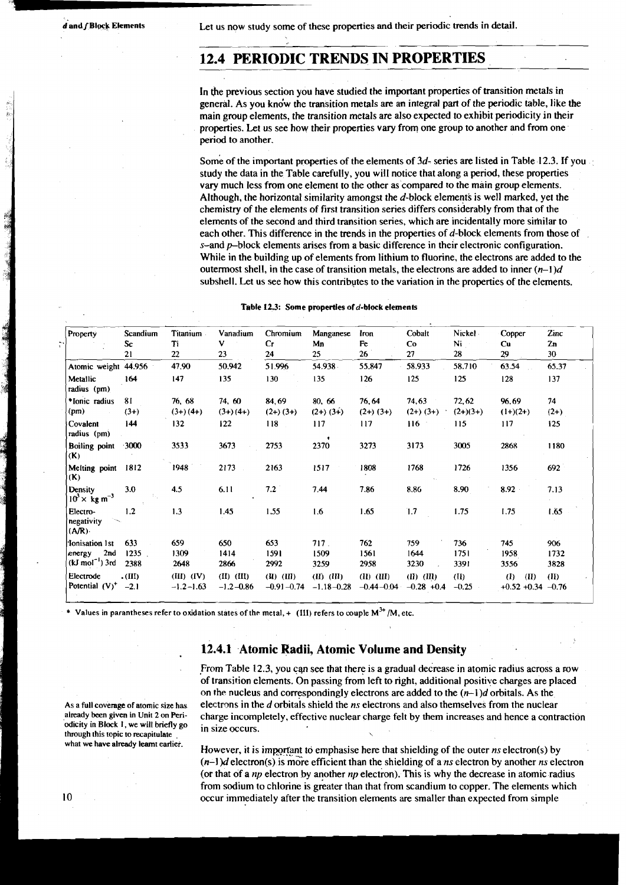Let us now study some of these properties and their periodic trends in detail.

## **12.4 PERIODIC TRENDS IN PROPERTIES**

In the previous section you have studied the important properties of transition metals in general. As you kndw the transition metals are an integral part of the periodic table, like the main group elements, the transition metals are also expected to exhibit periodicity in their properties. Let us see how their properties vary from one group to another and from one period to another.

Some of the important properties of the elements of  $3d$ - series are listed in Table 12.3. If you study the data in the Table carefully, you will notice thatalong a period, these properties vary much less from one element to the other as compared to the main group elements. Although, the horizontal similarity amongst the d-block elements is well marked, yet the chemistry of the elements of first transition series differs considerably from that of the elements of the second and third transition series, which are incidentally more similar to each other. This difference in the trends in the properties of d-block elements from those of  $s$ -and  $p$ -block elements arises from a basic difference in their electronic configuration. While in the building up of elements from lithium to fluorine, the electrons are added to the outermost shell, in the case of transition metals, the electrons are added to inner  $(n-1)d$ subshell. Let us see how this contributes to the variation in the properties of the elements.

| Table 12.3: Some properties of d-block elements |  |  |  |  |
|-------------------------------------------------|--|--|--|--|
|-------------------------------------------------|--|--|--|--|

| Table 12.3: Some properties of d-block elements     |                         |                                 |                                 |                                  |                                  |                                  |                              |                           |                                    |                     |
|-----------------------------------------------------|-------------------------|---------------------------------|---------------------------------|----------------------------------|----------------------------------|----------------------------------|------------------------------|---------------------------|------------------------------------|---------------------|
| Property                                            | Scandium<br>Sc<br>21    | <b>Titanium</b><br>Ti<br>22     | Vanadium<br>v<br>23             | Chromium<br>Cr<br>24             | Manganese<br>Mn<br>25            | Iron<br>Fe<br>26                 | Cobalt<br>Co<br>27           | Nickel -<br>Ni<br>28      | Copper<br>Cu<br>29                 | Zinc<br>2n<br>30    |
| Atomic weight 44.956                                |                         | 47.90                           | 50.942                          | 51.996                           | 54.938                           | 55.847                           | 58.933                       | 58.710                    | 63.54                              | 65.37               |
| Metallic<br>radius (pm)                             | 164                     | 147                             | 135                             | 130                              | 135                              | 126                              | 125                          | 125                       | 128                                | 137                 |
| *Ionic radius<br>(pm)                               | 81<br>$(3+)$            | 76, 68<br>$(3+) (4+)$           | 74, 60<br>$(3+) (4+)$           | 84,69<br>$(2+) (3+)$             | 80, 66<br>$(2+)$ $(3+)$          | 76,64<br>$(2+) (3+)$             | 74,63<br>$(2+)$ $(3+)$       | 72,62<br>$(2+)(3+)$       | 96.69<br>$(1+)(2+)$                | 74<br>$(2+)$        |
| Covalent<br>radius (pm)                             | 144                     | 132                             | 122                             | 118                              | 117<br>٠                         | 117                              | 116                          | 115                       | 117                                | 125                 |
| <b>Boiling</b> point<br>(K)                         | $-3000$                 | 3533                            | 3673                            | 2753                             | 2370                             | 3273                             | 3173                         | 3005                      | 2868                               | 1180                |
| Melting point<br>(K)                                | 1812                    | 1948                            | 2173                            | 2163                             | 1517                             | 1808                             | 1768                         | 1726                      | 1356                               | 692                 |
| Density<br>$10^3 \times \text{ kg m}^{-3}$          | 3.0                     | 4.5                             | 6.11                            | 7.2                              | 7.44                             | 7.86                             | 8.86                         | 8.90                      | 8.92                               | 7.13                |
| Electro-<br>negativity<br>(ANR)                     | 1.2                     | 1.3                             | 1.45                            | 1.55                             | 1.6                              | 1.65                             | 1.7                          | 1.75                      | 1.75                               | 1.65                |
| Ionisation 1st<br>2nd<br>energy<br>$(kJ mol-1)$ 3rd | 633<br>1235<br>2388     | 659<br>1309<br>2648             | 650<br>1414<br>2866             | 653<br>1591<br>2992              | 717.<br>1509<br>3259             | 762<br>1561<br>2958              | 759<br>1644<br>3230          | 736<br>1751<br>3391       | 745<br>1958<br>3556                | 906<br>1732<br>3828 |
| Electrode<br>Potential $(V)^+$                      | $\cdot$ (III)<br>$-2.1$ | $(III)$ $(IV)$<br>$-1.2 - 1.63$ | $(II)$ $(III)$<br>$-1.2 - 0.86$ | $(II)$ $(III)$<br>$-0.91 - 0.74$ | $(II)$ $(III)$<br>$-1.18 - 0.28$ | $(II)$ $(III)$<br>$-0.44 - 0.04$ | $(H)$ $(H)$<br>$-0.28 + 0.4$ | $(\mathbf{I})$<br>$-0.25$ | (I)<br>(II)<br>$+0.52 +0.34 -0.76$ | (II)                |

Values in parantheses refer to oxidation states of the metal,  $+$  (III) refers to couple M<sup>3+</sup>/M, etc.

### **12.4.1 Atomic Radii, Atomic Volume and Density**

,From Table 12.3, you can see that there is a gradual decrease in atomic radius across a row of transition elements. On passing from left to right, additional positive charges are placed on the nucleus and correspondingly electrons are added to the  $(n-1)d$  orbitals. As the As a full coverage of atomic size has electrons in the d orbitals shield the ns electrons and also themselves from the nuclear already been given in Unit 2 on Peri-<br>already been given in Unit 2 on Peri-<br>charge incompletely already been given in Unit 2 on Peri-<br>
odicity in Block 1, we will briefly go<br>
in since a contraction

**However, it is important to emphasise here that shielding of the outer ns electron(s) by (n-l)d** electron(s) is more efficient than the shielding of a **ns** electron by another **ns** electron (or that of a **np** electron by another **np** electron). This is why the decrease in aromic radius from sodium to chlorine is greater than that from scandium to copper. The elements which 10 occur immediately after the transition elements are smaller than expected from simple

**odicity in Block I, we will briefly go** in size occurs.<br>through this topic to recapitulate  $\frac{1}{\sqrt{2}}$ ,  $\frac{1}{\sqrt{2}}$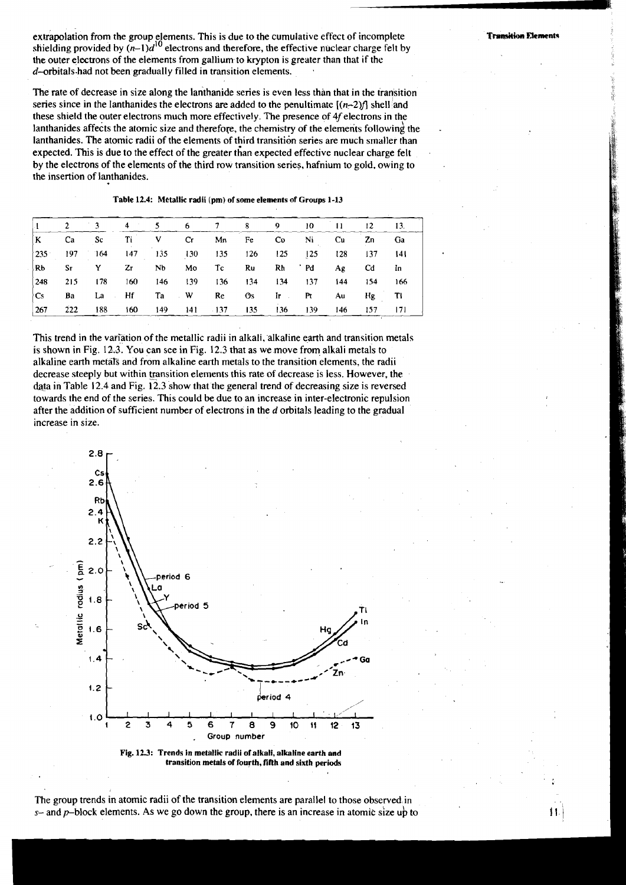extrapolation from the group elements. This is due to the cumulative effect of incomplete shielding provided by  $(n-1)d^{10}$  electrons and therefore, the effective nuclear charge felt by the outer electrons of the elements from gallium. to krypton is greater than that if the  $d$ -orbitals-had not been gradually filled in transition elements.

The rate of decrease in size along the lanthanide series is even less than that in the transition series since in the lanthanides the electrons are added to the penultimate  $[(n-2)$ f shell and these shield the outer electrons much more effectively. The presence of  $4f$  electrons in the lanthanides affects the atomic size and therefore, the chemistry of the elements following the lanthanides. The atomic radii of the elements of third transition series are much smaller than expected. This is due to the effect of the greater than expected effective nuclear charge felt by the electrons of the elements of the third row transition series, hafnium to gold, owing to the insertion of lanthanides.

| Table 12.4: Metallic radii (pm) of some elements of Groups 1-13 |         |     |     |     |     |        |     |     |      |     |     |           |
|-----------------------------------------------------------------|---------|-----|-----|-----|-----|--------|-----|-----|------|-----|-----|-----------|
|                                                                 | 2       | 3   | 4   | 5   | 6   | 7      | 8   | 9   | 10   | 11  | 12  | 13.       |
| K                                                               | Ca      | Sc  | Ti  | v   | Сr  | Mn     | Fe  | Co  | Ni   | Cu  | Zn  | <b>Ga</b> |
| 235                                                             | 197     | 164 | 147 | 135 | 130 | 135    | 126 | 125 | 125  | 128 | 137 | 141       |
| Rb                                                              | $S_{T}$ | Y   | Zг  | Nb  | Mo  | Тc     | Ru  | Rh  | ' Pd | Ag  | Cd  | In        |
| 248                                                             | 215     | 178 | 160 | 146 | 139 | 136    | 134 | 134 | 137  | 144 | 154 | 166       |
| Cs                                                              | Ba      | La  | Hf  | Ta  | w   | Re     | Os  | Iг  | Pt   | Αu  | Hg  | T١        |
| 267                                                             | 222     | 188 | 160 | 149 | 141 | $-137$ | 135 | 136 | 139  | 146 | 157 | 171       |

This trend in the variation of the metallic radii in alkali, alkaline earth and transition metals is shown in Fig. 123. You can see in Fig. 12.3 that as we move from alkali metals to alkaline earth metals and from alkaline earth metals to the transition elements, the radii decrease steeply but within transition elements this rate of decrease is less. However, the data in Table 12.4 and Fig.  $12.3$  show that the general trend of decreasing size is reversed towards the end of the series. This could be due to an increase in inter-electronic repulsion after the addition of sufficient number of electrons in the d orbitals leading to the gradual increase in size.



Fig. 12.3: Trends in metallic radii of alkali, alkaline earth and **transition metals of fourth, fifth and sixth periods** 

The group trends in atomic radii of the transition elements are parallel to those observed in **s-** and p-block elements. AS we go down the group, there is an increase in atomic size ub to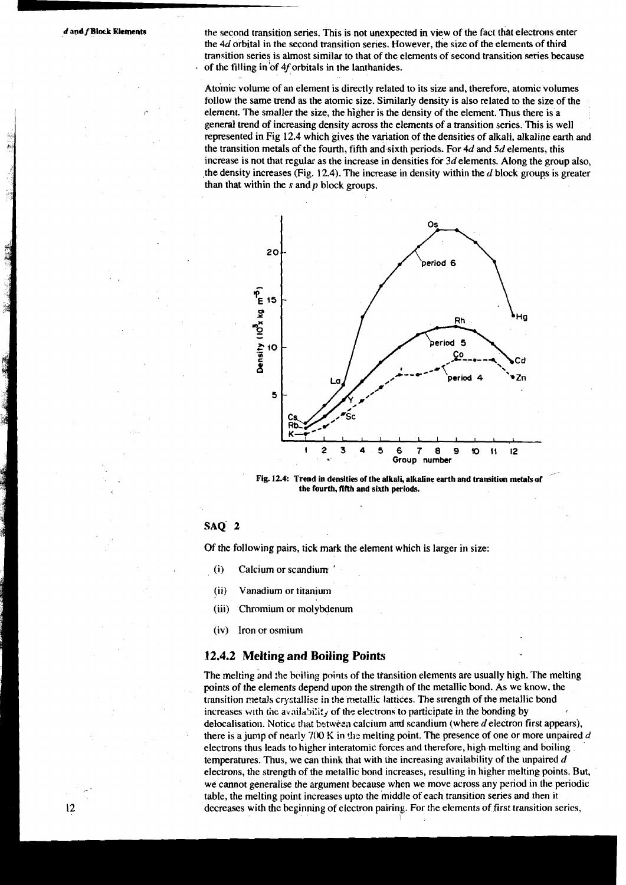*d* and *f* **Block Elements** the second transition series. This is not unexpected in view of the fact that electrons enter the 4d orbital in the second transition series. However, the size of the elements of third transition series is almost similar to that of the elements of second transition series because of the filling in'of 4f orbitals in the lanthanides.

> Atomic volume of an element is directly related to its size and, therefore, atomic volumes follow the same trend as the atomic size. Similarly density is also related to the size of the element. The smaller the size, the higher is the density of the element. Thus there is a general trend of increasing density across the elements of a transition series. This is well represented in Fig 12.4 which gives the variation of the densities of alkali, alkaline earth and the transition metals of the fourth, fifth and sixth periods. For 4d and **5d** elements, this increase is not that regular as the increase in densities for  $3d$  elements. Along the group also, the density increases (Fig. 12.4). The increase in density within the  $d$  block groups is greater than that within the  $s$  and  $p$  block groups.



the fourth, fifth and sixth periods.

#### **SAQ'** 2

Of the following pairs, tick mark the element which is larger in size:

- (i) Calcium or scandium '
- (ii) Vanadium or titanium
- (iii) Chromium or molybdenum
- (iv) Iron or osmium

#### **12.4.2 Melting and Boiling Points**

The melting and the boiling points of the transition elements are usually high. The melting points of the elemenrs depend upon the strength of the metallic bond. As we know, the transition metals crystsllise in !he metallic lattices. The strength of the metallic bond increases with the availability of the electrons to participate in the bonding by delocalisation. Notice that between calcium and scandium (where  $d$  electron first appears), there is a jump of nearly 700 K in the melting point. The presence of one or more unpaired d electrons thus leads to higher interatomic forces and therefore, high melting and boiling temperatures. Thus, we can think that with the increasing availability of the unpaired  $d$ electrons, the strength of the metallic bond increases, resulting in higher melting points. But, we cannot generalise the argument because when we move across any period in the periodic table, the melting point increases upto the middle of each transition series and then it decreases with the beginning of electron pairing. For the elements of first transition series,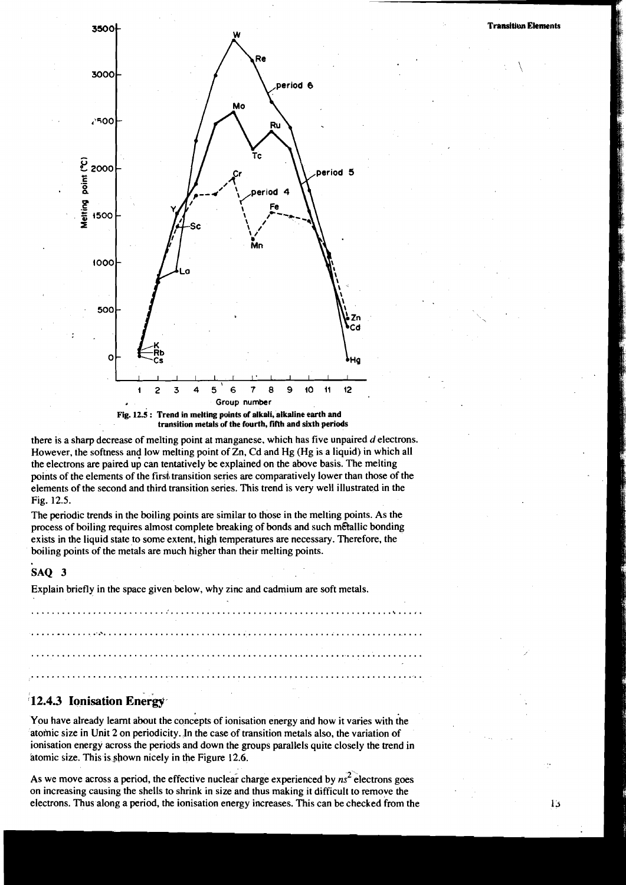:  $\sqrt$ 



**transition metals of the fourth, fifth and sixth periods** 

there is a sharp decrease of melting point at manganese, which has five unpaired d electrons. However, the softness and low melting point of Zn, Cd and Hg (Hg is a liquid) in which all the electrons are paired up can tentatively be explained on the above basis. The melting points of the elements of the firsh transition series are comparatively lower than those of the elements of the second and third transition series. This trend is very well illustrated in the Fig. 12.5.

The periodic trends in the boiling points are similar to those in the melting points. As the process of boiling requires almost complete breaking of bonds and such metallic bonding exists in the liquid state to some extent, high temperatures are necessary. Therefore, the boiling points of the metals are much higher than their melting points.

#### SAQ 3

Explain briefly in the space given below, why zinc and cadmium are soft metals.

....................................................................... \... . . . . . . . .

## **12.4.3 Ionisation Energy**

You have already learnt about the concepts of ionisation energy and how it varies with the atomic size in Unit 2 on periodicity. In the case of transition metals also, the variation of ionisation energy across the periods and down the groups parallels quite closely the trend in atomic size. This is shown nicely in the Figure 12.6.

As we move across a period, the effective nuclear charge experienced by  $n<sup>2</sup>$  electrons goes on increasing causing the shells to shrink in size and thus making it difficult to remove the electrons. Thus along a period, the ionisation energy increases. This can be checked from the

ÌЗ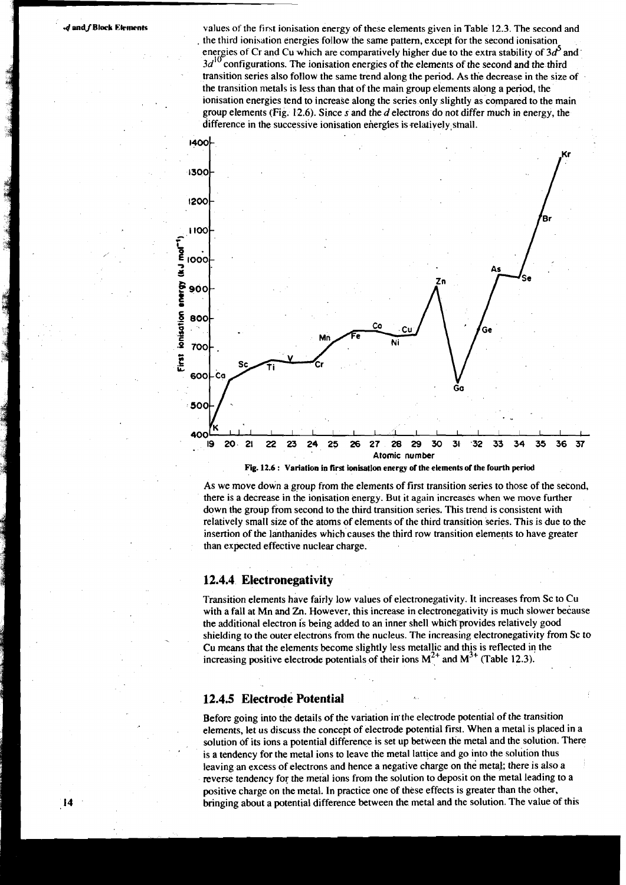$\overline{14}$ 

values of the fint ionisation energy of these elements given in Table 12.3. The second and the third ionisation energies follow the same pattern, except for the second ionisation energies of Cr and Cu which are comparatively higher due to the extra stability of  $3d<sup>5</sup>$  and  $3d<sup>10</sup>$  configurations. The ionisation energies of the elements of the second and the third transition series also follow the same trend along the period. As the decrease in the size of the transition metals is less than that of the main group elements along a period, the ionisation energies tend to increase along the series only slightly as compared to the main group elements ('Fig. 12.6). Since **s** and the d electrons do not differ much in energy, the difference in the successive ionisation energies is relatively small.



Fig. 12.6 : Variation in first ionisation energy of the elements of the fourth period

As we move down a group from the elements of first transition series to those of the second, there is a decrease in the ionisation energy. But it again increases when we move further down the group from second to the third transition series. This trend is consistent with relatively small size of the atoms of elements of the third transition series. This is due to the insertion of the lanthanides which causes the third row transition elements to have greater than expected effective nuclear charge.

#### 12.4.4 Electronegativity

Transition elements have fairly low values of electronegativity. It increases from Sc to Cu with a fall at Mn and Zn. However, this increase in electronegativity is much slower because the additional electron is being added to an inner shell which-provides relatively good shielding to the outer electrons from the nucleus. The increasing electronegativity from Sc to Cu means that the elements become slightly less metallic and this is reflected in the increasing positive electrode potentials of their ions  $M^{2+}$  and  $M^{3+}$  (Table 12.3).

#### 12.4.5 Electrode Potential

Before going into the details of the variation in the electrode potential of the transition elements, let us discuss the concept of electrode potential first. When a metal is placed in a solution of its ions a potential difference is set up between the metal and the solution. There is a tendency for the metal ions to leave the metal lattice and go into the solution thus leaving an excess of electrons and hence a negative charge on the metal; there is also a reverse tendency for the metal ions from the solution to deposit on the metal leading to a positive charge on the metal. In practice one of these effects is greater than the other, bringing about a potential difference between the metal and the solution. The value of this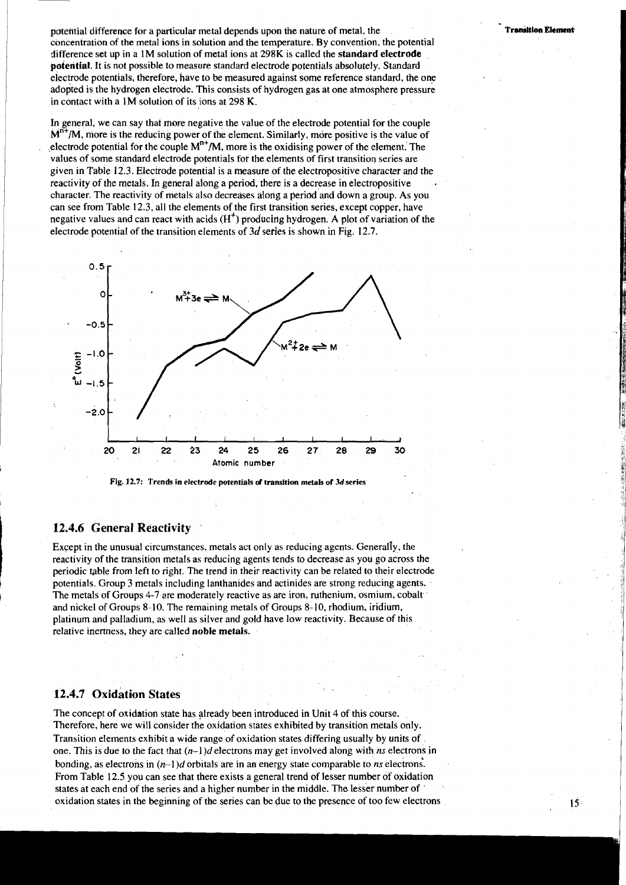potehtial difference for a particular metal depends upon the nature of metal, the concentration of the metal ions in solution and the temperature. By convention, the potential difference set up in a 1M solution of metal ions at 298K is called the **standard electrode potential.** It is not possible to measure standard electrode potentials absolutely. Standard electrode potentials, therefore, have to be measured against some reference standard, the one adopted is the hydrogen electrode. This consists of hydrogen gas at one atmosphere pressure in contact with a IM solution of its ions at 298 K.

In general, we can say that more negative the value of the electrode potential for the couple M<sup>n+</sup>/M, more is the reducing power of the element. Similarly, more positive is the value of electrode potential for the couple  $M^{n+}/M$ , more is the oxidising power of the element. The values of some standard electrode potentials for the elements of first transition series are given in Table 12.3. Electrode potential is a measure of the electropositive character and the reactivity of the metals. In general along a period, there is a decrease in electropositive . character. The reactivity of metals also decreases along a period and down a group. As you can see from Table 12.3, all the elements of the first transition series, except copper, have negative values and can react with acids **(H')** producing hydrogen. A plot of variation of the electrode potential of the transition elements of 3d series is shown in Fig. 12.7.



Fig. 12.7: Trends in electrode potentials of transition metals of 3d series

#### **12.4.6 General Reactivity**

Except in the unusual circumstances, metals act only as reducing agents. Generally, the reactivity of the transition metals as reducing agents tends to decrease as you go across the periodic table from left to right. The trend in their reactivity can be related to their electrode potentials. Group 3 metals including lanthanides and actinides are strong reducing agents. The metals of Groups 4-7 are moderately reactive as are iron, ruthenium, osmium, cobalt and nickel of Groups 8-10. The remaining metals of Groups 8- 10, rhodium, iridium, platinum and palladium, as well as silver and gold have low reactivity. Because of this relative inertness, they are called **noble metals.** 

## **12.4.7 oxidation States**

The concept of oxidation state has already been introduced in Unit 4 of this course. Therefore, here we will consider the oxidation states exhibited by transition metals only. Transition elements exhibit a wide range of oxidation states differing usually by units of one. This is due to the fact that  $(n-1)d$  electrons may get involved along with ns electrons in bonding, as electrons in  $(n-1)d$  orbitals are in an energy state comparable to *ns* electrons. From Table 12.5 you can see that there exists a general trend of lesser number of oxidation states at each end of the series and a higher number in the middle. The lesser number of ' oxidation states in the beginning of the series can be due to the presence of too few electrons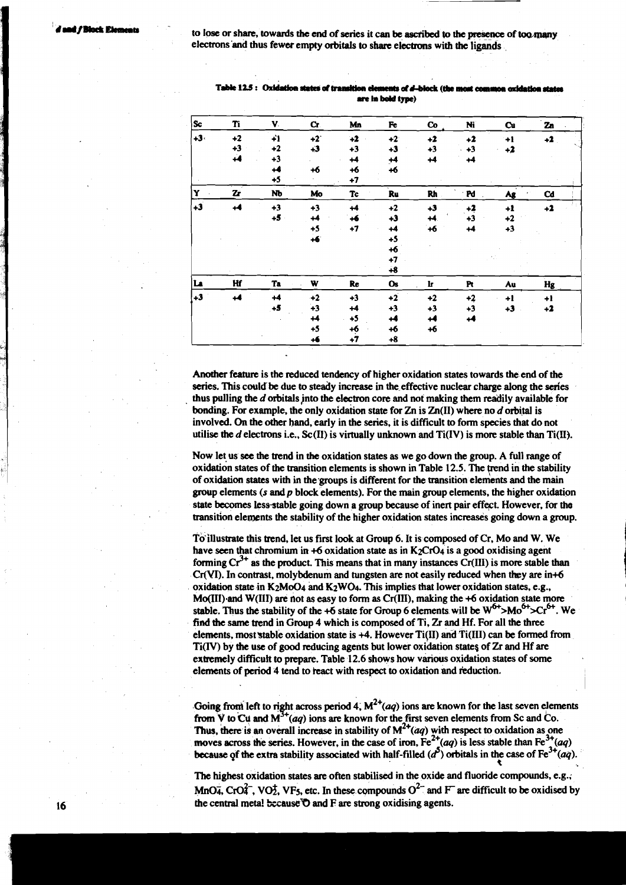to lose or share, towards the end of series it can be ascribed to the presence of too many electrons and thus fewer empty orbitals to share electrons with the ligands

| $ s_c $ | Ti           | V.   | $\mathbf{C}$ | Mn   | Fe        | $\mathbf{Co}$        | Ni   | Cu   | Zn   |
|---------|--------------|------|--------------|------|-----------|----------------------|------|------|------|
| $+3.$   | $+2$         | 41   | $+2$         | $+2$ | $+2$      | $+2$                 | $+2$ | $+1$ | $+2$ |
|         | $+3$         | $+2$ | $+3$         | $+3$ | $+3$      | $+3$                 | $+3$ | $+2$ |      |
|         | ∔4           | $+3$ |              | $+4$ | $+4$      | $\ddot{\phantom{1}}$ | $+4$ |      |      |
|         |              | 14   | $+6$         | $+6$ | $+6$      |                      |      |      |      |
|         |              | $+5$ |              | $+7$ |           |                      |      |      |      |
| Y       | $\mathbf{z}$ | Nb   | Mo           | Tc   | Ru        | Rh                   | · Pd | Ag   | Cd   |
| $+3$    | +4           | $+3$ | $+3$         | $+4$ | $+2$      | $+3$                 | $+2$ | $+1$ | $+2$ |
|         |              | $+5$ | +4           | +6   | $+3$      | $+4$                 | $+3$ | $+2$ |      |
|         |              |      | $+5$         | $+7$ | $+4$      | $+6$                 | +4   | $+3$ |      |
|         |              |      | $+6$         |      | $+5$      |                      |      |      |      |
|         |              |      |              |      | $+6$      |                      |      |      |      |
|         |              |      |              |      | $+7$      |                      |      |      |      |
|         |              |      |              |      | $+8$      |                      |      |      |      |
| La      | Hf           | Ta   | W            | Re   | <b>Os</b> | Ŀ                    | Pt   | Au   | Hg   |
| $+3$    | +4           | $+4$ | $+2$         | $+3$ | $+2$      | $+2$                 | $+2$ | $+1$ | $+1$ |
|         |              | $+5$ | $+3$         | +4   | $+3$      | $+3$                 | $+3$ | $+3$ | $+2$ |
|         |              |      | $+4$         | $+5$ | +4        | 44                   | 44   |      |      |
|         |              |      | $+5$         | $+6$ | $+6$      | $+6$                 |      |      |      |
|         |              |      | +6           | $+7$ | $+8$      |                      |      |      |      |

Table 12.5: Oxidation states of tra **am la bdd type)** 

Another feature is the reduced tendency of higher oxidation states towards the end of the series. This could be due **to** steady increase in the effective nuclear charge along the series thus pulling the d orbitals jnto the electron core and not making them readily available for bonding. For example, the only oxidation state for Zn is  $Zn(II)$  where no d orbital is involved. On the other hand, early in the series, it is difficult to form species that do not utilise the  $d$  electrons i.e., Sc(II) is virtually unknown and  $Ti(IV)$  is more stable than  $Ti(II)$ .

Now let. us **see** the trend in **the** oxidation states as we go down the group. **A** full range of oxidation states of the transition elements is shown in Table 12.5. The trend in the stability of oxidation states with in the-groups is different for the transition elements and the main grwp elements **(s andp** block elements). For the main group elements, the higher oxidation state becomes less stable going down a group because of inert pair effect. However, for the transition elements the stability of the higher oxidation states increases going down a group.

To'illustrate this trend, let us first look at Group 6. It is composed of Cr, Mo and W. We have seen that chromium in  $+6$  oxidation state as in K<sub>2</sub>CrO<sub>4</sub> is a good oxidising agent forming  $Cr^{3+}$  as the product. This means that in many instances  $Cr(III)$  is more stable than Cr(VI). In contrast, molybdenum and tungsten are not easily reduced when they are in+6 oxidation state in  $K_2MO_4$  and  $K_2WO_4$ . This implies that lower oxidation states, e.g., Mo(III).and W(II1) **are** dot as easy to form as Cr(III), making the +6 oxidation state more stable. Thus the stability of the +6 state for Group 6 elements will be  $W^{6+} > Mo^{6+} > Cr^{6+}$ . We find the same trend in Group 4 which is composed of Ti, **Zr** and Hf. For all the three elements, most~table oxidation state is +4. However Ti(I1) **and** Ti(II1) can be formed from Ti(1V) by the use of good reducing agents but lower oxidation states of **Zr** and Hf **are**  exlremely difficult **to prepare.** Table 12.6 shows how various oxidation states of some elements of period 4 tend to react with respect to oxidation and reduction.

Going from left to right across period 4,  $M^{2+}(aq)$  ions are known for the last seven elements from V to Cu and  $M^{3+}(aq)$  ions are known for the first seven elements from Sc and Co. Thus, there is an overall increase in stability of  $M^{2+}(aq)$  with respect to oxidation as one moves across the series. However, in the case of iron,  $Fe^{2+}(aq)$  is less stable than  $Fe^{3+}(aq)$  because of the extra stability associated with half-filled  $(d^5)$  orbitals in the case of  $Fe^{3+}(aq)$ .

**The** highest oxidation states are often stabilised in the oxide and fluoride compounds, e.g.; MnO<sub>4</sub>, CrO $\overline{4}$ , VO<sub>2</sub>, VF<sub>5</sub>, etc. In these compounds O<sup>2-</sup> and F<sup>are</sup> difficult to be oxidised by the central metal because<sup>T</sup>O and F are strong oxidising agents.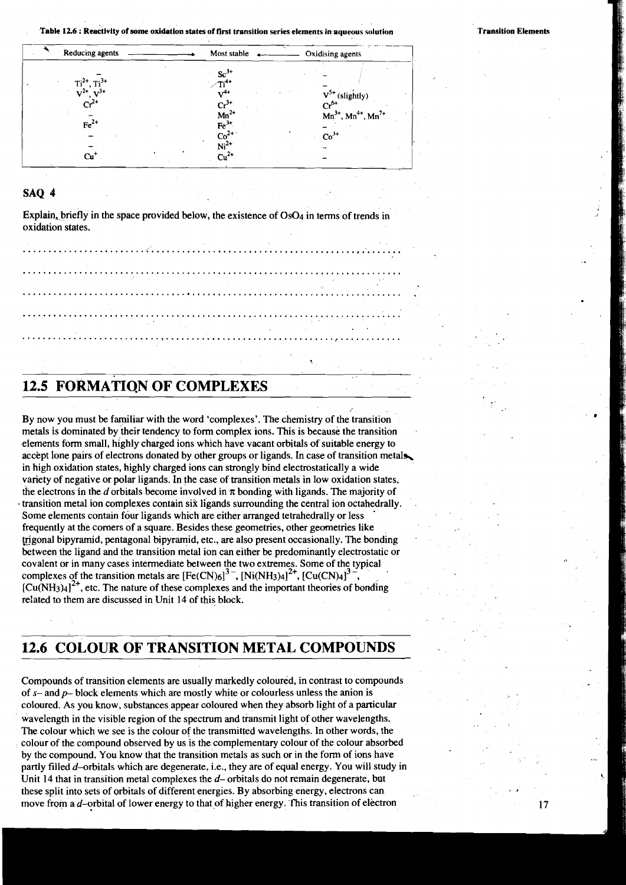$17$ 

|                 |                  | Table 12.6 : Reactivity of some oxidation states of first transition series elements in aqueous solution | <b>Transition Elements</b> |
|-----------------|------------------|----------------------------------------------------------------------------------------------------------|----------------------------|
| Reducing agents | Most stable      | Oxidising agents                                                                                         |                            |
|                 | $Sc^{3+}$        |                                                                                                          |                            |
| $7.3+$          |                  | $V^{5+}$ (slightly)                                                                                      |                            |
|                 | $Mn^{2+}$        | $\mathrm{Cr}^{\mathrm{6+}}$<br>$Mn^{3+}$ , $Mn^{4+}$ , $Mn^{7+}$                                         |                            |
| $Fe2+$          | $Fe3+$<br>$Co2+$ | $Co3+$                                                                                                   |                            |
| Cu'             | Ni <sup>2</sup>  |                                                                                                          |                            |

#### **SAQ 4**

Explain, briefly in the space provided below, the existence of  $OsO<sub>4</sub>$  in terms of trends in oxidation states.

## **12.5 FORMATION OF COMPLEXES**

By now you must be familiar with the word 'complexes'. The chemistry of the transition metals is dominated by their tendency to form complex ions. This is because the transition elements form small, highly charged ions which have vacant orbitals of suitable energy to accept lone pairs of electrons donated by other groups or ligands. In case of transition metals. in high oxidation states, highly charged ions can strongly bind electrostatically a wide variety of negative or polar ligands. In the case of transition metals in low oxidation states, the electrons in the d orbitals become involved in  $\pi$  bonding with ligands. The majority of transition metal ion complexes contain six ligands surrounding the central ion octahedrally. Some elements contain four ligands which are either arranged tetrahedrally or less frequently at the comers of a square. Besides these geometries, other geometries like trigonal bipyramid, pentagonal bipyramid, etc., are also present occasionally. The bonding between the ligand and the transition metal ion can either be predominantly electrostatic or covalent or in many cases intermediate between the two extremes. Some of the typical complexes of the transition metals are  $[Fe(CN)_6]^3$ ,  $[Ni(NH_3)_4]^2$ <sup>+</sup>,  $[Cu(CN)_4]^3$  $[Cu(NH<sub>3</sub>)<sub>4</sub>]<sup>2+</sup>$ , etc. The nature of these complexes and the important theories of bonding related to them are discussed in Unit 14 of this block.

## **12.6 COLOUR OF TRANSITION METAL COMPOUNDS**

Compounds of transition elements are usually markedly coloured, in contrast to compounds of **s-** andp- block elements which are mostly white or colourless unless the anion is coloured. As you know, substances appear coloured when they absorb light of a particular wavelength in the visible region of the spectrum and transmit light of other wavelengths. The colour which we see is the colour of the transmitted wavelengths. In other words, the colour of the compound observed by us is the complementary colour of the colour absorbed by the compound. You know that the transition metals as such or in the form of ions have partly filled d-orbitals which are degenerate, i.e., they are of equal energy. You will study in Unit 14 that in transition metal complexes the  $d$ -orbitals do not remain degenerate, but these split into sets of orbitals of different energies. By absorbing energy, electrons can move from a  $d$ -orbital of lower energy to that of higher energy. This transition of electron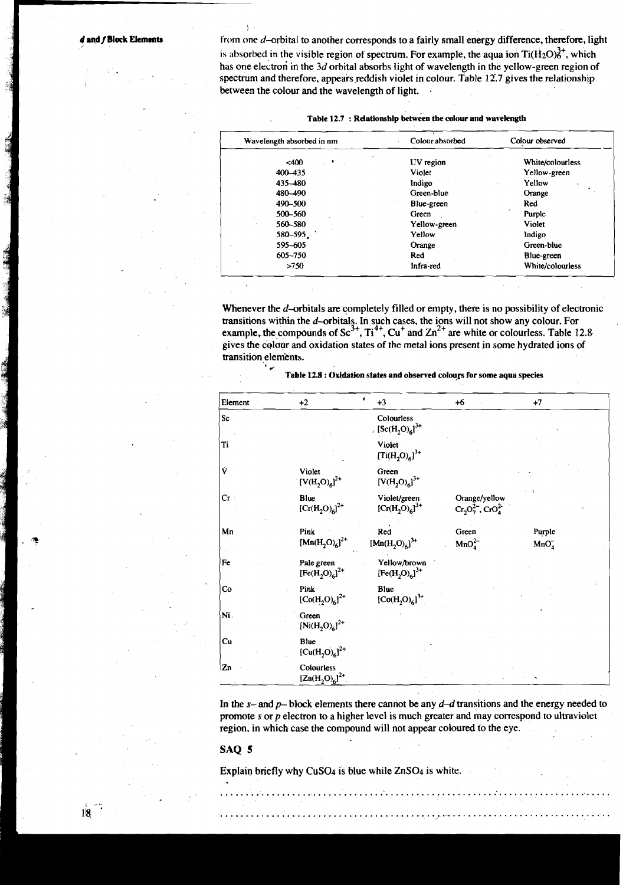I

\* **6** 

*d* and *f* **Block Elements therefore, light that is another corresponds to a fairly small energy difference, therefore, light** is absorbed in the visible region of spectrum. For example, the aqua ion  $Ti(H_2O)<sup>3+</sup>$ , which has one electron in the 3d orbital absorbs light of wavelength in the yellow-green region of spectrum and therefore, appears reddish violet in colour. Table **12..7** gives the relationship between the colour and the wavelength of light.

| Table 12.7 : Relationship between the colour and wavelength |
|-------------------------------------------------------------|

| Wavelength absorbed in nm | Colour absorbed | Colour observed  |  |
|---------------------------|-----------------|------------------|--|
| $<$ 400<br>. .<br>$\sim$  | UV region       | White/colourless |  |
| $400 - 435$               | Violet          | Yellow-green     |  |
| 435 - 480                 | Indigo          | Yellow           |  |
| 480 - 490                 | Green-blue      | Orange           |  |
| 490-500                   | Blue-green      | Red              |  |
| 500-560                   | Green           | Purple           |  |
| 560-580                   | Yellow-green    | Violet           |  |
| $580 - 595$ .             | Yellow          | Indigo           |  |
| 595-605                   | Orange          | Green-blue       |  |
| 605-750                   | Red             | Blue-green       |  |
| >750                      | Infra-red       | White/colourless |  |

Whenever the d-orbitals are completely filled or empty, there is no possibility of electronic transitions within the d-orbitals. In such cases, the ions will not show any colour. For example, the compounds of  $\text{Sc}^{3+}$ ,  $\text{Ti}^{4+}$ ,  $\text{Cu}^+$  and  $\text{Zn}^{2+}$  are white or colourless. Table 12.8 gives the colour and oxidation states of the metal ions present in some hydrated ions of transition elements.

| Element       | $+2$                              | $+3$                                | $+6$                                           | $+7$                       |
|---------------|-----------------------------------|-------------------------------------|------------------------------------------------|----------------------------|
| ${\bf Sc}$    |                                   | Colourless<br>, $[Sc(H_2O)_6]^{3+}$ |                                                |                            |
| Ti            |                                   | Violet<br>$[Ti(H_2O)_6]^{3+}$       |                                                |                            |
| ý             | Violet<br>$[V(H_2O)_6]^{2+}$      | Green<br>$[V(H_2O)_6]^{3+}$         |                                                |                            |
| Cr            | Blue<br>$[Cr(H2O)6]2+$            | Violet/green<br>$[Cr(H_2O)_6]^{3+}$ | Orange/yellow<br>$Cr_2O_7^{2-}$ , $CrO_4^{2-}$ |                            |
| $\mathbf{Mn}$ | Pink<br>$[Mn(H_2O)_6]^{2+}$       | Red<br>$[Mn(H2O)6]3+$               | Green<br>MnO <sub>4</sub> <sup>2</sup>         | Purple<br>MnO <sub>4</sub> |
| Fe            | Pale green<br>$[Fe(H2O)6]2+$      | Yellow/brown<br>$[Fe(H2O)6]3+$      |                                                |                            |
| Co            | Pink<br>$[Co(H2O)6]2+$            | Blue<br>${[Co(H2O)6]}^{3+}$         |                                                |                            |
| Ni.           | Green<br>$[Ni(H_2O)_6]^{2+}$      |                                     |                                                |                            |
| Cu            | Blue<br>$[Cu(H_2O)_6]^{2+}$       |                                     |                                                |                            |
| Zn            | Colourless<br>$[Zn(H_2O)_6]^{2+}$ |                                     |                                                |                            |

**Table tZ8** : **Oxidation states and observed coloup for some aqua species** 

In the **s-** and *p-* block elements there cannot be any d-d transitions and the energy needed to promote **s** or p electron to a higher level is much greater and may correspond to ultraviolet region, in which case the compound will not appear coloured to the eye.

............................................................................

........ .................................................................

#### SAQ **5**

 $18$ 

Explain briefly why CuS04 is blue while ZnS04 is white.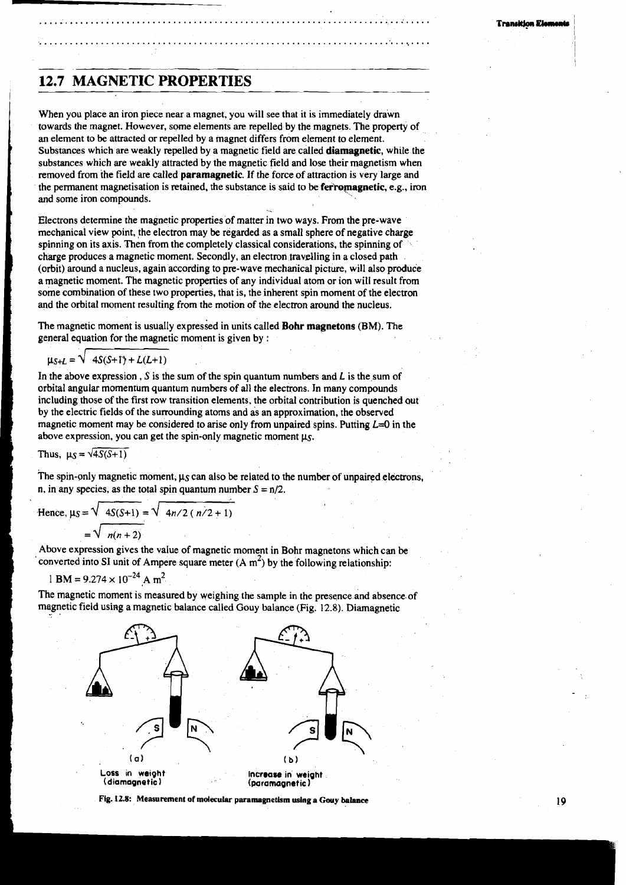## **12.7 MAGNETIC PROPERTIES**

When you place an iron piece near a magnet, you will see that it is immediately drawn towards the magnet. However, some elements **are** repelled by the magnets. The property of an element to be attracted or repelled by a magnet differs from element to element. Substances which are weakly repelled by a magnetic field are called **diamagnetic,** while the substances which are weakly attracted by the magnetic field and lose their magnetism when removed from the field are called **paramagnetic.** If the force of attraction is very large and the permanent magnetisation is retained, the substance is said to be **ferromagnetic**, e.g., iron and some iron compounds.

Electrons determine the magnetic properties of matter in two ways. From the pre-wave mechanical view point, the electron may be regarded as a small sphere of negative charge spinning on its axis. Then from the completely classical considerations, the spinning of charge produces a magnetic moment. Secondly, an electron travdling in a closed path (orbit) around a nucleus, again according to pre-wave mechanical picture, will also produce a magnetic moment. The magnetic properties of any individual atom or ion will result from some combination of these two properties, that is, the inherent spin moment of the electron and the orbital moment resulting from the motion of the electron around the nucleus.

The magnetic moment is usually expressed in units called **Bohr magnetons** (BM). The general equation for the magnetic moment is given by :

$$
\mu_{S+L} = \sqrt{4S(S+1) + L(L+1)}
$$

In the above expression, S is the sum of the spin quantum numbers and  $L$  is the sum of orbital angular momentum quantum numbers of all the electrons. In many compounds including those of the first row transition elements, the orbital contribution is quenched aut by the electric fields of the surrounding atoms and as an approximation, the observed magnetic moment may be considered to arise only from unpaired spins. Putting  $L=0$  in the above expression, you can get the spin-only magnetic moment **ps.** 

Thus,  $\mu_S = \sqrt{4S(S+1)}$ 

The spin-only magnetic moment,  $\mu_S$  can also be related to the number of unpaired electrons, n, in any species, as the total spin quantum number  $S = \frac{n}{2}$ .

$$
n, in any species, as the total spin quantum number  $S = n/2$ .  
Hence,  $\mu_S = \sqrt{4S(S+1)} = \sqrt{4n/2 (n/2 + 1)}$   
=  $\sqrt{n(n+2)}$   
Above expression gives the value of magnetic moment in Bohr magnetons which can be
$$

converted into SI unit of Ampere square meter  $(A m^2)$  by the following relationship:

$$
BM = 9.274 \times 10^{-24} A m^2
$$

The magnetic moment is measured by weighing the sample in the presence and absence. of magnetic field using a magnetic balance called Gouy balance (Fig. 12.8). Diamagnetic



Fig. 12.8: Measurement of molecular paramagnetism using a Gouy balance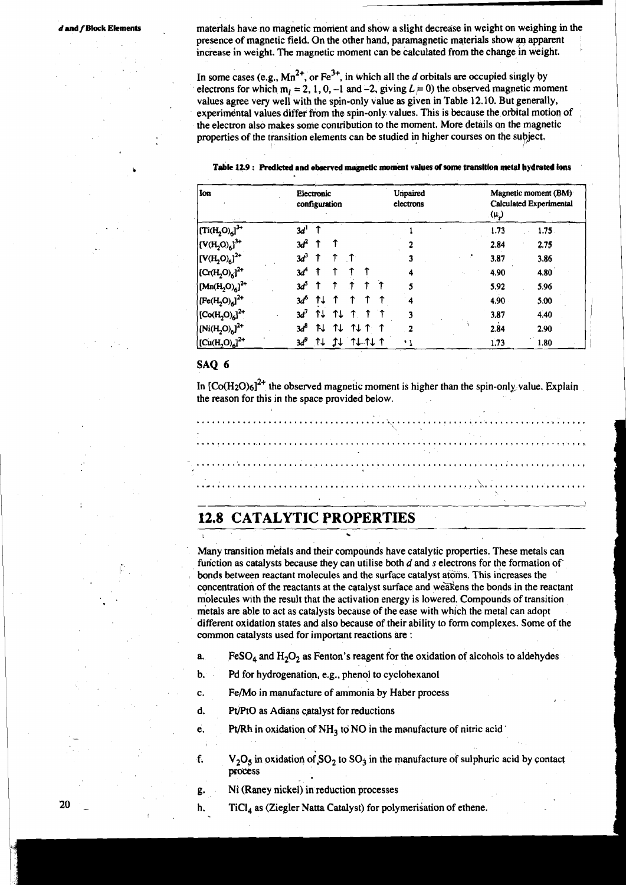materials have no magnetic moment and show a slight decrease in weight on weighing in the presence of magnetic field. On the other hand, paramagnetic materials show an apparent increase in weight. **The** magnetic moment can be calculated from the change in weight.

- -- -

In some cases (e.g.,  $Mn^{2+}$ , or  $Fe^{3+}$ , in which all the d orbitals are occupied singly by electrons for which  $m_l = 2, 1, 0, -1$  and  $-2$ , giving  $L \neq 0$ ) the observed magnetic moment values agree very well with the spin-only value as given in Table **12.10.** But generally, experimental values differ from the spin-only values. This is because the orbital motion of the electron also makes some contribution to the moment. More details on the magnetic properties of the transition elements can be studied in higher courses on the subject.

 $T$ able 12.9 : Predicted and observed magnetic moment values of some transition metal hydrated ions

| Ion                                                             | Electronic<br>configuration |     |                      |      |  | Unpaired<br>electrons |   |  |  |      | Magnetic moment (BM)<br><b>Calculated Experimental</b><br>(μ) |  |
|-----------------------------------------------------------------|-----------------------------|-----|----------------------|------|--|-----------------------|---|--|--|------|---------------------------------------------------------------|--|
| $\left[\left(\text{Ti}(\text{H}_2\text{O})_6\right)^3\right]^4$ | 3d <sup>1</sup>             |     |                      |      |  |                       |   |  |  | 1.73 | 1.75.                                                         |  |
| $[V(H_2O)_{6}]^{3+}$                                            | $\mathcal{A}^2$             |     |                      |      |  |                       |   |  |  | 2.84 | 2.75                                                          |  |
| $[V(H_2O)_6]^{2+}$                                              | $3d^3$                      |     |                      |      |  |                       |   |  |  | 3.87 | 3.86                                                          |  |
| $ [Cr(H2O)6]2+$                                                 | Зđ                          |     |                      |      |  |                       | 4 |  |  | 4.90 | 4.80                                                          |  |
| $[Mn(H2O)6]^{2+}$                                               | 3ď                          |     |                      |      |  |                       |   |  |  | 5.92 | 5.96                                                          |  |
| $[Fe(H2O)6]2+$                                                  | зď                          |     |                      |      |  |                       | 4 |  |  | 4.90 | 5.00                                                          |  |
| $ [Co(H2O)6]2+$                                                 | $3d^7$                      | t l | 11                   |      |  |                       | 3 |  |  | 3,87 | 4.40                                                          |  |
| $ Ni(H_2O)_{6} ^{2+}$                                           | 3ď                          | 1L  | ↑↓                   | TI 1 |  |                       |   |  |  | 2.84 | 2.90                                                          |  |
| $[Cu(H2O)6]2+$                                                  |                             |     | $3d^9$ TU II TU TU T |      |  |                       |   |  |  | 1,73 | 1.80                                                          |  |

### **SAQ 6**

In  $[Co(H<sub>2</sub>O)<sub>6</sub>]<sup>2+</sup>$  the observed magnetic moment is higher than the spin-only, value. Explain the reason for this in the space provided below.



Many transition metals and their compounds have catalytic properties. These metals can function as catalysts because they can utilise both d and **s** electrons for the formation of' bonds between reactant molecules and the surface catalyst atoms. This increases the concentration of the reactants at the catalyst surface and wesens the bonds in the reactant molecules with the result that the activation energy is lowered. Compounds of transition metals are able to act as catalysts because of the ease with which the metal can adopt different oxidation states and also because of their ability to form complexes. Some of the common catalysts used for important reactions are :

- a. FeSO<sub>4</sub> and  $H_2O_2$  as Fenton's reagent for the oxidation of alcohols to aldehydes **1 1 Pd** for hydrogenation, e.g., phenol to exclohexanol
- b. Pd for hydrogenation, e.g., phenol to cyclohexanol *C*. Fe/Mo in manufacture of ammonia by Haber proce
- c. Fe/Mo in manufacture of ammonia by Haber process<br>d. Pt/PtO as Adians catalyst for reductions
- Pt/PtO as Adians catalyst for reductions
- e. Pt/Rh in oxidation of  $NH<sub>3</sub>$  to NO in the manufacture of nitric acid ' c. Fe/Mo in manufacture of ammonia by Haber process<br>d. Pt/PtO as Adians catalyst for reductions<br>e. Pt/Rh in oxidation of NH<sub>3</sub> to NO in the manufacture of nitric acid
	- **f.**  $V_2O_5$  in oxidation of  $SO_2$  to  $SO_3$  in the manufacture of sulphuric acid by contact process f.  $V_2O_5$  in oxidation of  $SO_2$  to  $SO_3$  in the manufacture of sulphuric acid by contact<br>process<br>g. Ni (Raney nickel) in reduction processes<br>h. TiCl<sub>4</sub> as (Ziegler Natta Catalyst) for polymerisation of ethene.
		-
	- h.  $TiCl<sub>4</sub>$  as (Ziegler Natta Catalyst) for polymerisation of ethene.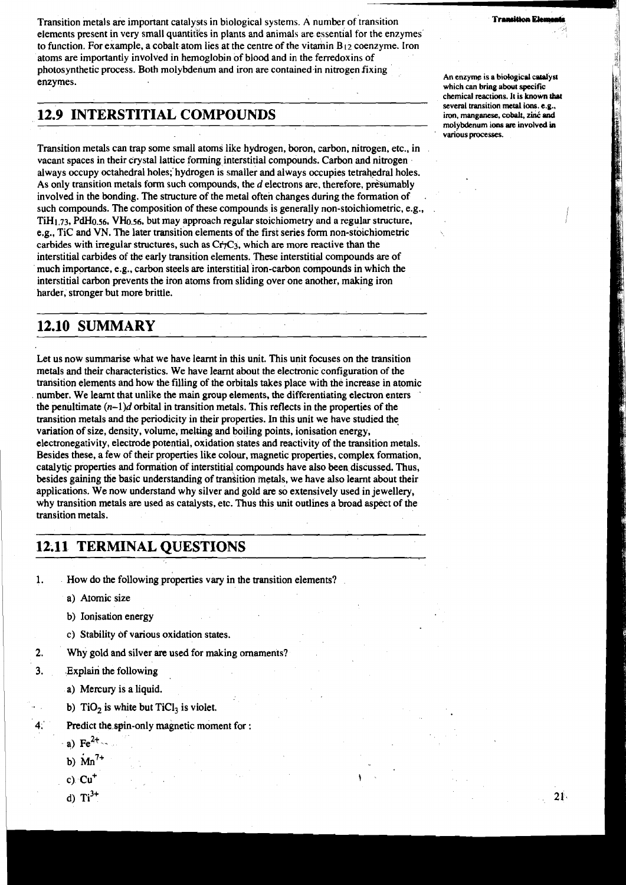Transition metals are important catalysts in biological systems. A number of transition **Transition Example 1** elements present in very small quantities in plants and animals are essential for the enzymes to function. For example, a cobalt atom lies at the centre of the vitamin **B** 12 coenzyme. Iron atoms are importantly involved in hemoglobin of blood and in the ferredoxins of **7,**  photosynthetic process. Both molybdenum and iron are contained in nitrogen fixing enzymes.

## **12.9 INTERSTITIAL COMPOUNDS iron, manganese, cobalt, zini nad**

Transition metals can trap some small atoms like hydrogen, boron, carbon, nitrogen, etc., in vacant spaces in their crystal lattice forming interstitial compounds. Carbon and nitrogen always occupy octahedral holes; hydrogen is smaller and always occupies tetrahedral holes. As only transition metals form such compounds, the  $d$  electrons are, therefore, presumably involved in the bonding. The structure of the metal often changes during the formation of such compounds. The composition of these compounds is generally non-stoichiometric, e.g., TiH1.73, **PdH0.56, VH0.56,** but may approach regular stoichiometry and a regular structure, e.g., Tic and **VN.** The later transition elements of the first series form non-stoichiometric carbides with irregular structures, such as  $Cr<sub>1</sub>C<sub>3</sub>$ , which are more reactive than the interstitial carbides of the early transition elements. These interstitial compounds are of much importance, e.g., carbon steels are interstitial iron-carbon compounds in which the interstitial carbon prevents the iron atoms from sliding over one another, making iron harder, stronger but more brittle.

## **12.10 SUMMARY**

Let us now summarise what we have learnt in this unit. This unit focuses on the transition metals and their characteristics. We have learnt about the electronic configuration of the transition elements and how the filling of the orbitals takes place with the increase in atomic number. We learnt that unlike the main group elements, the differentiating electron enters ' the penultimate  $(n-1)d$  orbital in transition metals. This reflects in the properties of the transition metals and the periodicity in their properties. In this unit we have studied the variation of size, density, volume, *meking* and boiling points, ionisation energy, electronegativity, electrode potential, oxidation states and reactivity of the transition metals. Besides these, a few of their properties like colour, magnetic properties, complex formation, catalytic properties and formation of interstitial compounds have also been discussed. Thus, besides gaining the basic understanding of transition metals, we have also learnt about their applications. We now understand why silver and gold are so extensively used in jewellery, why transition metals are used as catalysts, etc. Thus this unit outlines a broad aspect of the transition metals.

## **12.11 TERMINAL QUESTIONS**

1. How do the following properties vary in the transition elements?

- a) Atomic size
- b) Ionisation energy
- c) Stability of various oxidation states.
- $2.$ Why gold and silver are used for making ornaments?
- $\overline{3}$ . Explain the following
	- a) Mercury is a liquid.
	- b)  $TiO<sub>2</sub>$  is white but  $TiCl<sub>3</sub>$  is violet.
- Predict the spin-only magnetic moment for :
	- a) Fe<sup>2+</sup>
	- b)  $Mn^{7+}$
	- c) Cu<sup>+</sup>
	- d)  $\text{Ti}^{3+}$

**An enzyme is a biological catalyst**  which can bring about specific **chemical reactions. It is known :hot**  several transition metal ions. e.g.,<br>iron, manganese, cobalt, zinć and **molybdenum ions are involved in**   $$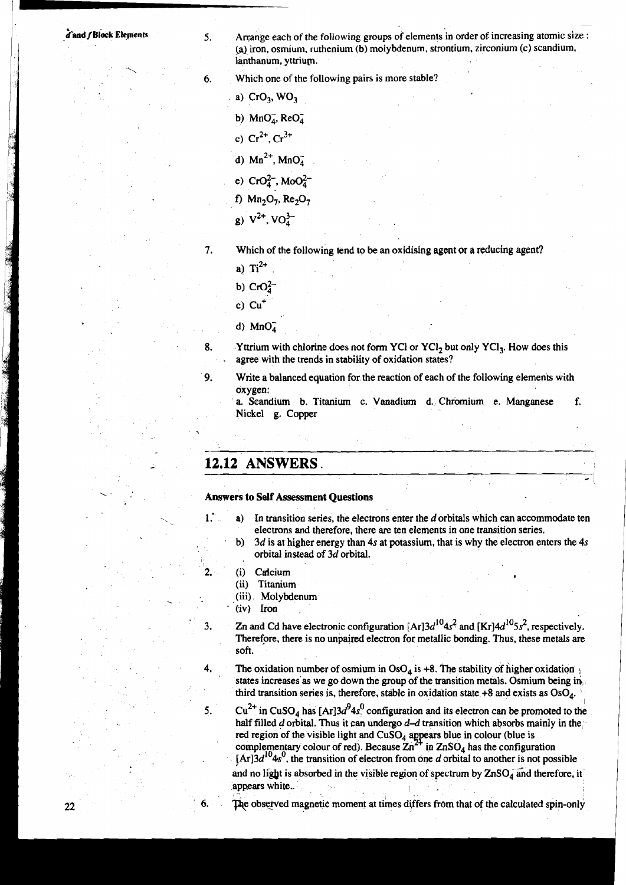**5.** Arrange each of the following groups of elements in order of increasing atomic size : (a) iron, osmium, ruthenium (b) molybdenum, strontium, zirconium (c) scandium, lanthanum, yttrium.

-

*6.* Which one of the following pairs is more stable?

a)  $CrO<sub>3</sub>$ , WO<sub>3</sub>

b)  $MnO<sub>4</sub>$ , ReO<sub>4</sub>

c)  $Cr^{2+}$ ,  $Cr^{3+}$ 

d)  $Mn^{2+}$ ,  $MnO<sub>4</sub>$ 

e)  $CrO<sub>4</sub><sup>2</sup>$ , MoO<sub>4</sub><sup>2</sup>

f)  $Mn_2O_7$ ,  $Re_2O_7$ 

g)  $V^{2+}$ ,  $VO_4^{3-}$ 

7. Which of the following tend to be an oxidising agent or a reducing agent?

a)  $Ti^{2+}$ 

b)  $CrO<sub>4</sub><sup>2</sup>$ 

d)  $MnO<sub>A</sub>$ 

8. Yttrium with chlorine does not form YCl or YCl<sub>2</sub> but only YCl<sub>3</sub>. How does this agree with the trends in stability of oxidation states?

**9.** Write a balanced equation for the reaction of each of the following elements with oxygen:

a. Scandium b. Titanium c. Vanadium d. Chromium e. Manganese f. Nickel g. Copper

## **12.12 ANSWERS.**

#### **Answers to Self Assessment Questions**

- **1.' a)** In transition series, the electrons enter the *d* orbitals which can accommodate ten electrons and therefore, there **are** ten elements in one transition series,
	- b) *3d* is at higher energy than *4s* at potassium, that is why the electron enters the 4s orbital instead of *3d* orbital.
	-
- 2. (i) Calcium<br>(ii) Titanium Titanium
	- . (iii) Molybdenum (iv) Iron
	-

 $3.$ 

22

Zn and Cd have electronic configuration  $[Ar]3d^{10}4s^2$  and  $[Kr]4d^{10}5s^2$ , respectively. Therefore, there is no unpaired electron for metallic bonding. Thus, these metals are soft

4. The oxidation number of osmium in  $OsO<sub>4</sub>$  is +8. The stability of higher oxidation states increases as we go down the group of the transition metals. Osmium being in third transition series is, therefore, stable in oxidation state  $+8$  and exists as  $OsO<sub>4</sub>$ .

5.  $Cu^{2+}$  in CuSO<sub>4</sub> has  $[Ar]3d^{9}4s^{0}$  configuration and its electron can be promoted to the half filled d orbital. Thus it can undergo  $d-d$  transition which absorbs mainly in the red region of the visible light and CuSO<sub>4</sub> appears blue in colour (blue is complementary colour of red). Because  $2n^{2+}$  in  $ZnSO_4$  has the configuration  $[Ar]3d^{10}4s^0$ , the transition of electron from one d orbital to another is not possible and no light is absorbed in the visible region of spectrum by  $ZnSO_4$  and therefore, it appars white..

The observed magnetic moment at times differs from that of the calculated spin-only

c)  $Cu<sup>+</sup>$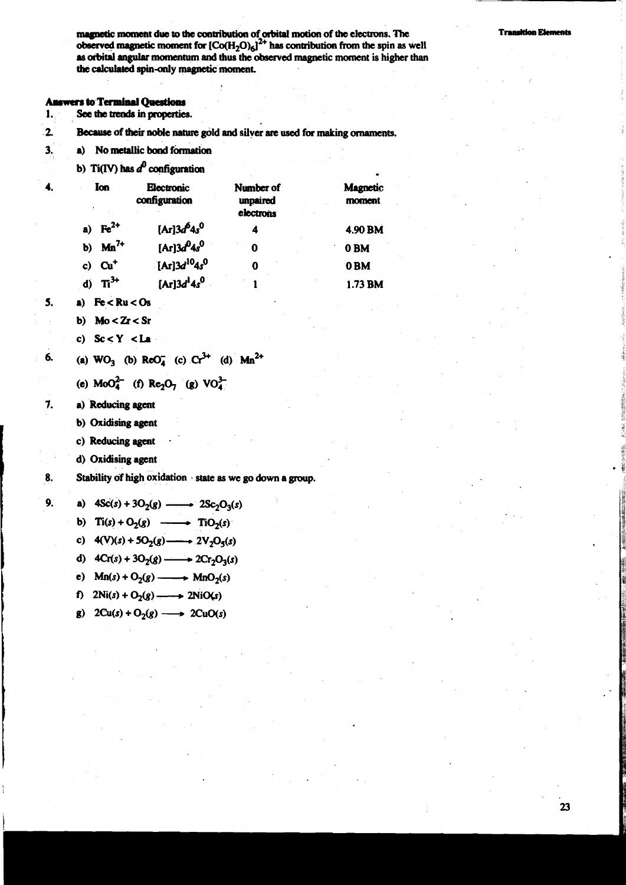**noment due to the contribution of orbital motion of the electrons. The <b>Transition Elements observed magnetic moment for**  $[Co(H_2O)_6]^2$ **<sup>+</sup> has contribution from the spin as well as orbital angular** momentum **d thus the observed magnetic moment is higher than the calculated spin-only magnetic moment.** 

#### **Answers to Terminal Questions**

- See the trends in properties.  $\mathbf{1}$
- **2** &cruse **of their noble** nature **gold and silver are used for making ornaments.**
- **3. a) Nometallic bond finmation** 
	-

|    |                     | b) Ti(IV) has $d^0$ configuration   |                                    |                    |
|----|---------------------|-------------------------------------|------------------------------------|--------------------|
|    | Ion                 | Electronic<br>configuration         | Number of<br>unpaired<br>electrons | Magnetic<br>moment |
|    | a) $\text{Fe}^{2+}$ | [Ar] $3d^64s^0$                     |                                    | 4.90 BM            |
| b) | $Mn^{7+}$           | [Ar] $3d^{0}4s^{0}$                 | 0                                  | 0 <sub>BM</sub>    |
| c) | $\mathbf{C}$        | [Ar] $3d^{10}4s^0$                  | 0                                  | 0 <sub>BM</sub>    |
|    | $\mathbf{T}^{3+}$   | [Ar]3d <sup>1</sup> 4s <sup>0</sup> |                                    | 1.73 BM            |

 $\mathbf{S}$ . a)  $Fe < Ru < Os$ 

6.

 $7.$ 

 $9.$ 

- b)  $Mo < Zr < Sr$
- c)  $Sc < Y < La$

(a) 
$$
WO_3
$$
 (b)  $ReO_4^-$  (c)  $Cr^{3+}$  (d)  $Man^{2+}$ 

- (e)  $MoO<sub>4</sub><sup>2</sup>$  (f) Re<sub>2</sub>O<sub>7</sub> (g) VO<sub>4</sub><sup>3</sup>
- **a) Reducing agent** 
	- **b) Oxidising agent**
	- **c) Reducing agent**
	- **d) Oxidising agent**

**Stability of high oxidation** . **state as we go down a group.** 8.

a)  $4Sc(s) + 3O_2(g)$  -  $2Sc_2O_3(s)$ 

b)  $\text{Ti}(s) + \text{O}_2(g) \longrightarrow \text{TiO}_2(s)$ 

- c)  $4(V)(s) + 5O_2(g) \longrightarrow 2V_2O_5(s)$
- d)  $4Cr(s) + 3O_2(g) \longrightarrow 2Cr_2O_3(s)$
- e)  $Mn(s) + O_2(g) \longrightarrow MnO_2(s)$
- f)  $2Ni(s) + O_2(g) \longrightarrow 2NiO(s)$
- g)  $2Cu(s) + O_2(g) \longrightarrow 2CuO(s)$